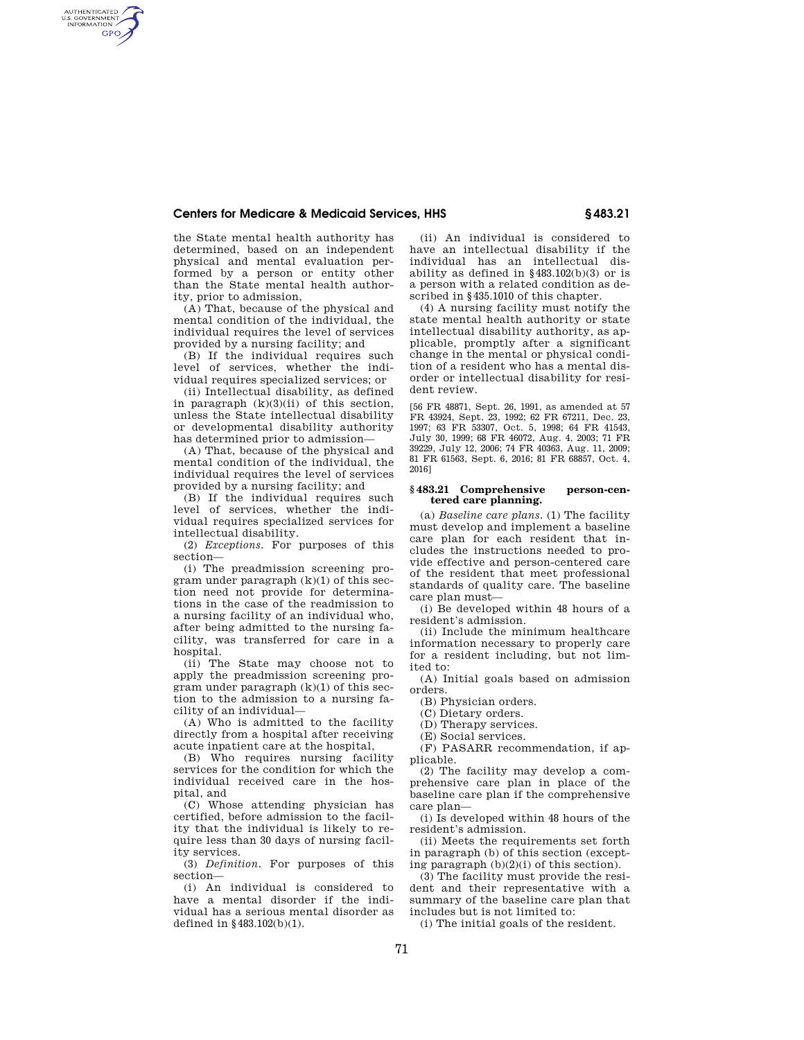## **Centers for Medicare & Medicaid Services, HHS § 483.21**

the State mental health authority has determined, based on an independent physical and mental evaluation performed by a person or entity other than the State mental health authority, prior to admission,

AUTHENTICATED<br>U.S. GOVERNMENT<br>INFORMATION **GPO** 

> (A) That, because of the physical and mental condition of the individual, the individual requires the level of services provided by a nursing facility; and

> (B) If the individual requires such level of services, whether the individual requires specialized services; or

> (ii) Intellectual disability, as defined in paragraph  $(k)(3)(ii)$  of this section, unless the State intellectual disability or developmental disability authority has determined prior to admission—

> (A) That, because of the physical and mental condition of the individual, the individual requires the level of services provided by a nursing facility; and

> (B) If the individual requires such level of services, whether the individual requires specialized services for intellectual disability.

> (2) *Exceptions.* For purposes of this section—

> (i) The preadmission screening program under paragraph (k)(1) of this section need not provide for determinations in the case of the readmission to a nursing facility of an individual who, after being admitted to the nursing facility, was transferred for care in a hospital.

> (ii) The State may choose not to apply the preadmission screening program under paragraph  $(k)(1)$  of this section to the admission to a nursing facility of an individual—

> (A) Who is admitted to the facility directly from a hospital after receiving acute inpatient care at the hospital,

> (B) Who requires nursing facility services for the condition for which the individual received care in the hospital, and

> (C) Whose attending physician has certified, before admission to the facility that the individual is likely to require less than 30 days of nursing facility services.

> (3) *Definition.* For purposes of this section—

> (i) An individual is considered to have a mental disorder if the individual has a serious mental disorder as defined in §483.102(b)(1).

(ii) An individual is considered to have an intellectual disability if the individual has an intellectual disability as defined in  $§483.102(b)(3)$  or is a person with a related condition as described in §435.1010 of this chapter.

(4) A nursing facility must notify the state mental health authority or state intellectual disability authority, as applicable, promptly after a significant change in the mental or physical condition of a resident who has a mental disorder or intellectual disability for resident review.

[56 FR 48871, Sept. 26, 1991, as amended at 57 FR 43924, Sept. 23, 1992; 62 FR 67211, Dec. 23, 1997; 63 FR 53307, Oct. 5, 1998; 64 FR 41543, July 30, 1999; 68 FR 46072, Aug. 4, 2003; 71 FR 39229, July 12, 2006; 74 FR 40363, Aug. 11, 2009; 81 FR 61563, Sept. 6, 2016; 81 FR 68857, Oct. 4, 2016]

## **§ 483.21 Comprehensive person-centered care planning.**

(a) *Baseline care plans.* (1) The facility must develop and implement a baseline care plan for each resident that includes the instructions needed to provide effective and person-centered care of the resident that meet professional standards of quality care. The baseline care plan must—

(i) Be developed within 48 hours of a resident's admission.

(ii) Include the minimum healthcare information necessary to properly care for a resident including, but not limited to:

(A) Initial goals based on admission orders.

(B) Physician orders.

(C) Dietary orders.

(D) Therapy services.

(E) Social services.

(F) PASARR recommendation, if applicable.

(2) The facility may develop a comprehensive care plan in place of the baseline care plan if the comprehensive care plan—

(i) Is developed within 48 hours of the resident's admission.

(ii) Meets the requirements set forth in paragraph (b) of this section (excepting paragraph (b)(2)(i) of this section).

(3) The facility must provide the resident and their representative with a summary of the baseline care plan that includes but is not limited to:

(i) The initial goals of the resident.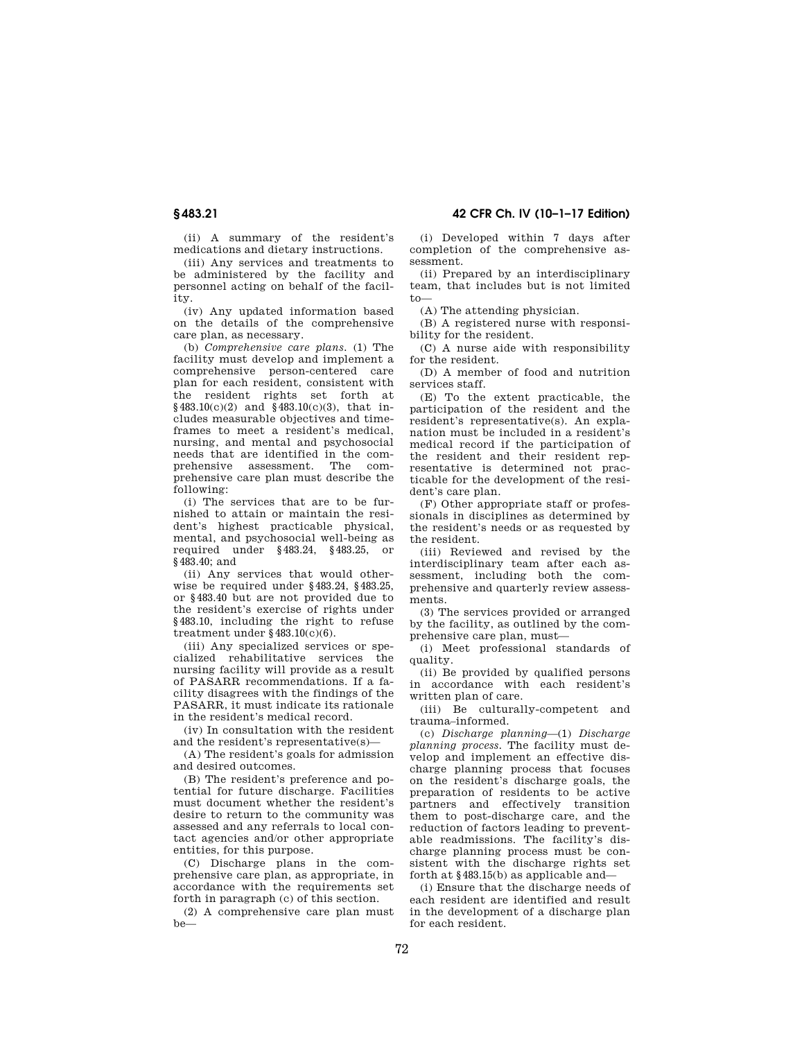(ii) A summary of the resident's medications and dietary instructions.

(iii) Any services and treatments to be administered by the facility and personnel acting on behalf of the facility.

(iv) Any updated information based on the details of the comprehensive care plan, as necessary.

(b) *Comprehensive care plans.* (1) The facility must develop and implement a comprehensive person-centered care plan for each resident, consistent with the resident rights set forth at  $§483.10(c)(2)$  and  $§483.10(c)(3)$ , that includes measurable objectives and timeframes to meet a resident's medical, nursing, and mental and psychosocial needs that are identified in the comprehensive assessment. The comprehensive care plan must describe the following:

(i) The services that are to be furnished to attain or maintain the resident's highest practicable physical, mental, and psychosocial well-being as required under §483.24, §483.25, or §483.40; and

(ii) Any services that would otherwise be required under §483.24, §483.25, or §483.40 but are not provided due to the resident's exercise of rights under §483.10, including the right to refuse treatment under  $§ 483.10(c)(6)$ .

(iii) Any specialized services or specialized rehabilitative services the nursing facility will provide as a result of PASARR recommendations. If a facility disagrees with the findings of the PASARR, it must indicate its rationale in the resident's medical record.

(iv) In consultation with the resident and the resident's representative(s)—

(A) The resident's goals for admission and desired outcomes.

(B) The resident's preference and potential for future discharge. Facilities must document whether the resident's desire to return to the community was assessed and any referrals to local contact agencies and/or other appropriate entities, for this purpose.

(C) Discharge plans in the comprehensive care plan, as appropriate, in accordance with the requirements set forth in paragraph (c) of this section.

(2) A comprehensive care plan must be—

(i) Developed within 7 days after completion of the comprehensive assessment.

(ii) Prepared by an interdisciplinary team, that includes but is not limited to—

(A) The attending physician.

(B) A registered nurse with responsibility for the resident.

(C) A nurse aide with responsibility for the resident.

(D) A member of food and nutrition services staff.

(E) To the extent practicable, the participation of the resident and the resident's representative(s). An explanation must be included in a resident's medical record if the participation of the resident and their resident representative is determined not practicable for the development of the resident's care plan.

(F) Other appropriate staff or professionals in disciplines as determined by the resident's needs or as requested by the resident.

(iii) Reviewed and revised by the interdisciplinary team after each assessment, including both the comprehensive and quarterly review assessments.

(3) The services provided or arranged by the facility, as outlined by the comprehensive care plan, must—

(i) Meet professional standards of quality.

(ii) Be provided by qualified persons in accordance with each resident's written plan of care.

(iii) Be culturally-competent and trauma–informed.

(c) *Discharge planning*—(1) *Discharge planning process.* The facility must develop and implement an effective discharge planning process that focuses on the resident's discharge goals, the preparation of residents to be active partners and effectively transition them to post-discharge care, and the reduction of factors leading to preventable readmissions. The facility's discharge planning process must be consistent with the discharge rights set forth at §483.15(b) as applicable and—

(i) Ensure that the discharge needs of each resident are identified and result in the development of a discharge plan for each resident.